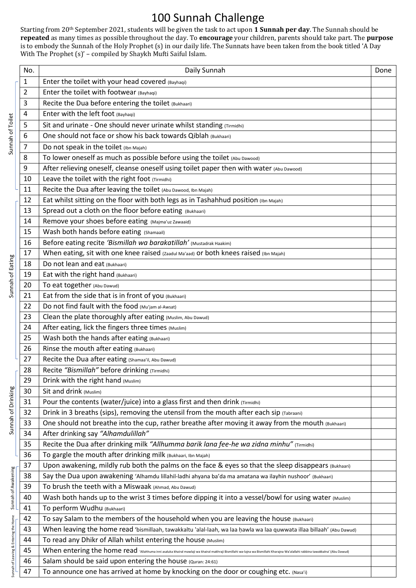## 100 Sunnah Challenge

Starting from 20<sup>th</sup> September 2021, students will be given the task to act upon 1 **Sunnah per day**. The Sunnah should be **repeated** as many times as possible throughout the day. To **encourage** your children, parents should take part. The **purpose** is to embody the Sunnah of the Holy Prophet (s) in our daily life. The Sunnats have been taken from the book titled 'A Day With The Prophet (s)' – compiled by Shaykh Mufti Saiful Islam.

| Sunnah of Toilet                      | No. | Daily Sunnah                                                                                                                                                                   | Done |
|---------------------------------------|-----|--------------------------------------------------------------------------------------------------------------------------------------------------------------------------------|------|
|                                       | 1   | Enter the toilet with your head covered (Bayhaqi)                                                                                                                              |      |
|                                       | 2   | Enter the toilet with footwear (Bayhaqi)                                                                                                                                       |      |
|                                       | 3   | Recite the Dua before entering the toilet (Bukhaari)                                                                                                                           |      |
|                                       | 4   | Enter with the left foot (Bayhaqi)                                                                                                                                             |      |
|                                       | 5   | Sit and urinate - One should never urinate whilst standing (Tirmidhi)                                                                                                          |      |
|                                       | 6   | One should not face or show his back towards Qiblah (Bukhaari)                                                                                                                 |      |
|                                       | 7   | Do not speak in the toilet (Ibn Majah)                                                                                                                                         |      |
|                                       | 8   | To lower oneself as much as possible before using the toilet (Abu Dawood)                                                                                                      |      |
|                                       | 9   | After relieving oneself, cleanse oneself using toilet paper then with water (Abu Dawood)                                                                                       |      |
|                                       | 10  | Leave the toilet with the right foot (Tirmidhi)                                                                                                                                |      |
|                                       | 11  | Recite the Dua after leaving the toilet (Abu Dawood, Ibn Majah)                                                                                                                |      |
| Sunnah of Eating                      | 12  | Eat whilst sitting on the floor with both legs as in Tashahhud position (Ibn Majah)                                                                                            |      |
|                                       | 13  | Spread out a cloth on the floor before eating (Bukhaari)                                                                                                                       |      |
|                                       | 14  | Remove your shoes before eating (Majma'uz Zawaaid)                                                                                                                             |      |
|                                       | 15  | Wash both hands before eating (Shamaail)                                                                                                                                       |      |
|                                       | 16  | Before eating recite 'Bismillah wa barakatillah' (Mustadrak Haakim)                                                                                                            |      |
|                                       | 17  | When eating, sit with one knee raised (Zaadul Ma'aad) or both knees raised (Ibn Majah)                                                                                         |      |
|                                       | 18  | Do not lean and eat (Bukhaari)                                                                                                                                                 |      |
|                                       | 19  | Eat with the right hand (Bukhaari)                                                                                                                                             |      |
|                                       | 20  | To eat together (Abu Dawud)                                                                                                                                                    |      |
|                                       | 21  | Eat from the side that is in front of you (Bukhaari)                                                                                                                           |      |
|                                       | 22  | Do not find fault with the food (Mu'jam al-Awsat)                                                                                                                              |      |
|                                       | 23  | Clean the plate thoroughly after eating (Muslim, Abu Dawud)                                                                                                                    |      |
|                                       | 24  | After eating, lick the fingers three times (Muslim)                                                                                                                            |      |
|                                       | 25  | Wash both the hands after eating (Bukhaari)                                                                                                                                    |      |
|                                       | 26  | Rinse the mouth after eating (Bukhaari)                                                                                                                                        |      |
|                                       | 27  | Recite the Dua after eating (Shamaa'il, Abu Dawud)                                                                                                                             |      |
|                                       | 28  | Recite "Bismillah" before drinking (Tirmidhi)                                                                                                                                  |      |
|                                       | 29  | Drink with the right hand (Muslim)                                                                                                                                             |      |
|                                       | 30  | Sit and drink (Muslim)                                                                                                                                                         |      |
|                                       | 31  | Pour the contents (water/juice) into a glass first and then drink (Tirmidhi)                                                                                                   |      |
|                                       | 32  | Drink in 3 breaths (sips), removing the utensil from the mouth after each sip (Tabraani)                                                                                       |      |
| Sunnah of Drinking                    | 33  | One should not breathe into the cup, rather breathe after moving it away from the mouth (Bukhaari)                                                                             |      |
|                                       | 34  | After drinking say "Alhamdulillah"                                                                                                                                             |      |
|                                       | 35  | Recite the Dua after drinking milk "Allhumma barik lana fee-he wa zidna minhu" (Tirmidhi)                                                                                      |      |
|                                       | 36  | To gargle the mouth after drinking milk (Bukhaari, Ibn Majah)                                                                                                                  |      |
|                                       | 37  | Upon awakening, mildly rub both the palms on the face & eyes so that the sleep disappears (Bukhaari)                                                                           |      |
|                                       | 38  | Say the Dua upon awakening 'Alhamdu lillahil-ladhi ahyana ba'da ma amatana wa ilayhin nushoor' (Bukhaari)                                                                      |      |
|                                       | 39  | To brush the teeth with a Miswaak (Ahmad, Abu Dawud)                                                                                                                           |      |
| Sunnah of Awakening                   | 40  | Wash both hands up to the wrist 3 times before dipping it into a vessel/bowl for using water (Muslim)                                                                          |      |
|                                       | 41  | To perform Wudhu (Bukhaari)                                                                                                                                                    |      |
| Sunnah of Leaving & Entering the Home | 42  | To say Salam to the members of the household when you are leaving the house (Bukhaari)                                                                                         |      |
|                                       | 43  | When leaving the home read 'bismillaah, tawakkaltu 'alal-laah, wa laa hawla wa laa quwwata illaa billaah' (Abu Dawud)                                                          |      |
|                                       | 44  | To read any Dhikr of Allah whilst entering the house (Muslim)                                                                                                                  |      |
|                                       | 45  | When entering the home read 'Allahhuma inni asaluka khairal mawlaji wa khairal makhraji Bismillahi wa-lajna wa Bismillahi Kharajna Wa'alallahi rabbina tawakkalna' (Abu Dawud) |      |
|                                       | 46  | Salam should be said upon entering the house (Quran: 24:61)                                                                                                                    |      |
|                                       | 47  | To announce one has arrived at home by knocking on the door or coughing etc. (Nasa'i)                                                                                          |      |